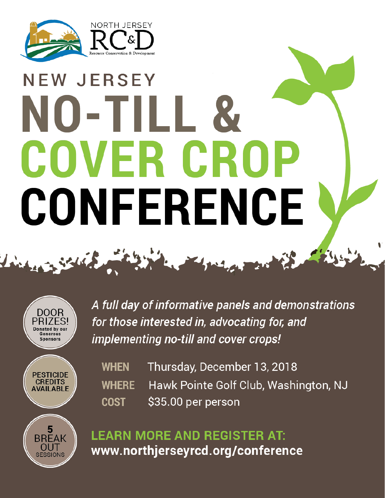

## **NEW JERSEY** NO-TILL & COVER CRO CONFERENCE

2 Solid million The Company



A full day of informative panels and demonstrations for those interested in, advocating for, and implementing no-till and cover crops!



**SESSIONS** 

Thursday, December 13, 2018 **WHEN** Hawk Pointe Golf Club, Washington, NJ **WHERE** \$35.00 per person **COST** 

**LEARN MORE AND REGISTER AT:** www.northjerseyrcd.org/conference